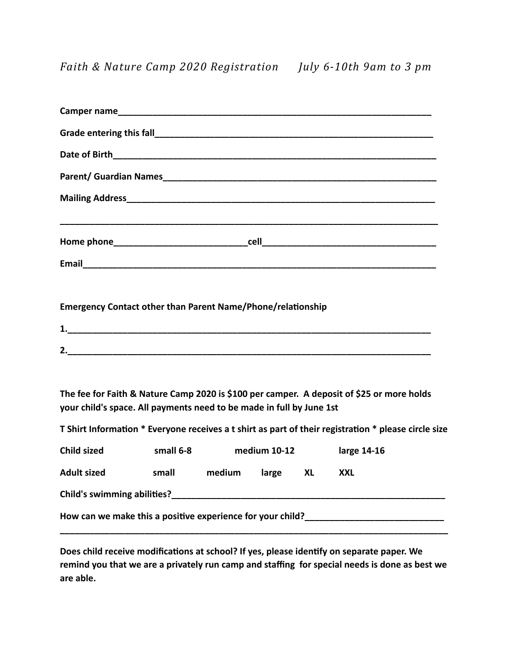## **Emergency Contact other than Parent Name/Phone/relationship**

| .        |  |  |  |
|----------|--|--|--|
|          |  |  |  |
| ∽<br>. . |  |  |  |

The fee for Faith & Nature Camp 2020 is \$100 per camper. A deposit of \$25 or more holds your child's space. All payments need to be made in full by June 1st

**T** Shirt Information \* Everyone receives a t shirt as part of their registration \* please circle size

| <b>Child sized</b>                                         | small 6-8 | medium 10-12 |       |    | large 14-16 |  |  |
|------------------------------------------------------------|-----------|--------------|-------|----|-------------|--|--|
| <b>Adult sized</b>                                         | small     | medium       | large | XL | XXL         |  |  |
| <b>Child's swimming abilities?</b>                         |           |              |       |    |             |  |  |
| How can we make this a positive experience for your child? |           |              |       |    |             |  |  |

Does child receive modifications at school? If yes, please identify on separate paper. We remind you that we are a privately run camp and staffing for special needs is done as best we **are able.**